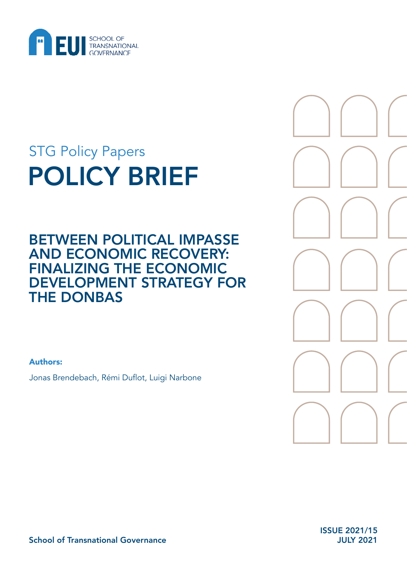

# POLICY BRIEF STG Policy Papers

BETWEEN POLITICAL IMPASSE AND ECONOMIC RECOVERY: FINALIZING THE ECONOMIC DEVELOPMENT STRATEGY FOR THE DONBAS

Authors:

Jonas Brendebach, Rémi Duflot, Luigi Narbone

ISSUE 2021/15 JULY 2021

School of Transnational Governance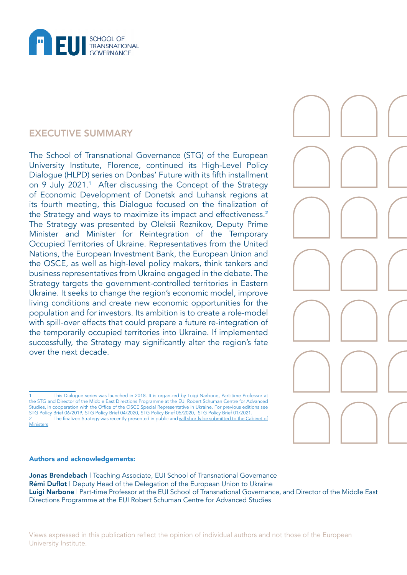

## EXECUTIVE SUMMARY

The School of Transnational Governance (STG) of the European University Institute, Florence, continued its High-Level Policy Dialogue (HLPD) series on Donbas' Future with its fifth installment on 9 July 2021.<sup>1</sup> After discussing the Concept of the Strategy of Economic Development of Donetsk and Luhansk regions at its fourth meeting, this Dialogue focused on the finalization of the Strategy and ways to maximize its impact and effectiveness.<sup>2</sup> The Strategy was presented by Oleksii Reznikov, Deputy Prime Minister and Minister for Reintegration of the Temporary Occupied Territories of Ukraine. Representatives from the United Nations, the European Investment Bank, the European Union and the OSCE, as well as high-level policy makers, think tankers and business representatives from Ukraine engaged in the debate. The Strategy targets the government-controlled territories in Eastern Ukraine. It seeks to change the region's economic model, improve living conditions and create new economic opportunities for the population and for investors. Its ambition is to create a role-model with spill-over effects that could prepare a future re-integration of the temporarily occupied territories into Ukraine. If implemented successfully, the Strategy may significantly alter the region's fate over the next decade.

#### Authors and acknowledgements:

Jonas Brendebach | Teaching Associate, EUI School of Transnational Governance Rémi Duflot | Deputy Head of the Delegation of the European Union to Ukraine Luigi Narbone | Part-time Professor at the EUI School of Transnational Governance, and Director of the Middle East Directions Programme at the EUI Robert Schuman Centre for Advanced Studies

Views expressed in this publication reflect the opinion of individual authors and not those of the European University Institute.

<sup>1</sup> This Dialogue series was launched in 2018. It is organized by Luigi Narbone, Part-time Professor at the STG and Director of the Middle East Directions Programme at the EUI Robert Schuman Centre for Advanced Studies, in cooperation with the Office of the OSCE Special Representative in Ukraine. For previous editions see [STG Policy Brief 06/2019](https://cadmus.eui.eu/handle/1814/63510), [STG Policy Brief 04/2020](https://hdl.handle.net/1814/67859), [STG Policy Brief 05/2020](https://cadmus.eui.eu/handle/1814/67860), [STG Policy Brief 01/2021.](https://cadmus.eui.eu/handle/1814/69597) 2 The finalized Strategy was recently presented in public and [will shortly be submitted to the Cabinet of](https://minre.gov.ua/news/strategiya-ekonomichnogo-rozvytku-donbasu-shche-ne-pryynyata-ale-yiyi-klyuchovi-zasady-vzhe) **[Ministers](https://minre.gov.ua/news/strategiya-ekonomichnogo-rozvytku-donbasu-shche-ne-pryynyata-ale-yiyi-klyuchovi-zasady-vzhe)**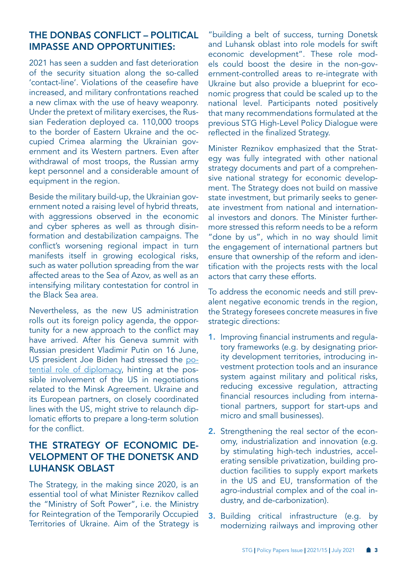## THE DONBAS CONFLICT – POLITICAL IMPASSE AND OPPORTUNITIES:

2021 has seen a sudden and fast deterioration of the security situation along the so-called 'contact-line'. Violations of the ceasefire have increased, and military confrontations reached a new climax with the use of heavy weaponry. Under the pretext of military exercises, the Russian Federation deployed ca. 110,000 troops to the border of Eastern Ukraine and the occupied Crimea alarming the Ukrainian government and its Western partners. Even after withdrawal of most troops, the Russian army kept personnel and a considerable amount of equipment in the region.

Beside the military build-up, the Ukrainian government noted a raising level of hybrid threats, with aggressions observed in the economic and cyber spheres as well as through disinformation and destabilization campaigns. The conflict's worsening regional impact in turn manifests itself in growing ecological risks, such as water pollution spreading from the war affected areas to the Sea of Azov, as well as an intensifying military contestation for control in the Black Sea area.

Nevertheless, as the new US administration rolls out its foreign policy agenda, the opportunity for a new approach to the conflict may have arrived. After his Geneva summit with Russian president Vladimir Putin on 16 June, US president Joe Biden had stressed the [po](https://www.whitehouse.gov/briefing-room/speeches-remarks/2021/06/16/remarks-by-president-biden-in-press-conference-4/)[tential role of diplomacy](https://www.whitehouse.gov/briefing-room/speeches-remarks/2021/06/16/remarks-by-president-biden-in-press-conference-4/), hinting at the possible involvement of the US in negotiations related to the Minsk Agreement. Ukraine and its European partners, on closely coordinated lines with the US, might strive to relaunch diplomatic efforts to prepare a long-term solution for the conflict.

# THE STRATEGY OF ECONOMIC DE-VELOPMENT OF THE DONETSK AND LUHANSK OBLAST

The Strategy, in the making since 2020, is an essential tool of what Minister Reznikov called the "Ministry of Soft Power", i.e. the Ministry for Reintegration of the Temporarily Occupied Territories of Ukraine. Aim of the Strategy is "building a belt of success, turning Donetsk and Luhansk oblast into role models for swift economic development". These role models could boost the desire in the non-government-controlled areas to re-integrate with Ukraine but also provide a blueprint for economic progress that could be scaled up to the national level. Participants noted positively that many recommendations formulated at the previous STG High-Level Policy Dialogue were reflected in the finalized Strategy.

Minister Reznikov emphasized that the Strategy was fully integrated with other national strategy documents and part of a comprehensive national strategy for economic development. The Strategy does not build on massive state investment, but primarily seeks to generate investment from national and international investors and donors. The Minister furthermore stressed this reform needs to be a reform "done by us", which in no way should limit the engagement of international partners but ensure that ownership of the reform and identification with the projects rests with the local actors that carry these efforts.

To address the economic needs and still prevalent negative economic trends in the region, the Strategy foresees concrete measures in five strategic directions:

- 1. Improving financial instruments and regulatory frameworks (e.g. by designating priority development territories, introducing investment protection tools and an insurance system against military and political risks, reducing excessive regulation, attracting financial resources including from international partners, support for start-ups and micro and small businesses).
- 2. Strengthening the real sector of the economy, industrialization and innovation (e.g. by stimulating high-tech industries, accelerating sensible privatization, building production facilities to supply export markets in the US and EU, transformation of the agro-industrial complex and of the coal industry, and de-carbonization).
- **3.** Building critical infrastructure (e.g. by modernizing railways and improving other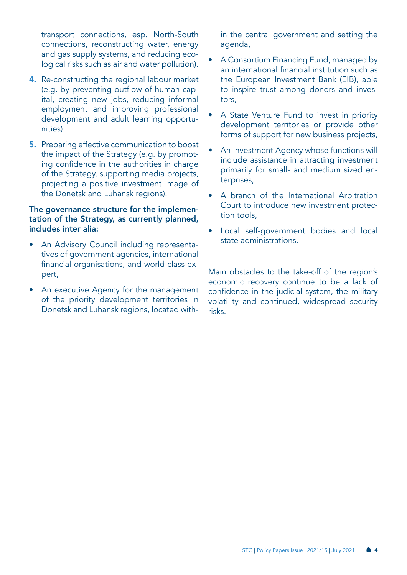transport connections, esp. North-South connections, reconstructing water, energy and gas supply systems, and reducing ecological risks such as air and water pollution).

- 4. Re-constructing the regional labour market (e.g. by preventing outflow of human capital, creating new jobs, reducing informal employment and improving professional development and adult learning opportunities).
- 5. Preparing effective communication to boost the impact of the Strategy (e.g. by promoting confidence in the authorities in charge of the Strategy, supporting media projects, projecting a positive investment image of the Donetsk and Luhansk regions).

#### The governance structure for the implementation of the Strategy, as currently planned, includes inter alia:

- An Advisory Council including representatives of government agencies, international financial organisations, and world-class expert,
- An executive Agency for the management of the priority development territories in Donetsk and Luhansk regions, located with-

in the central government and setting the agenda,

- A Consortium Financing Fund, managed by an international financial institution such as the European Investment Bank (EIB), able to inspire trust among donors and investors,
- A State Venture Fund to invest in priority development territories or provide other forms of support for new business projects,
- An Investment Agency whose functions will include assistance in attracting investment primarily for small- and medium sized enterprises,
- A branch of the International Arbitration Court to introduce new investment protection tools,
- Local self-government bodies and local state administrations.

Main obstacles to the take-off of the region's economic recovery continue to be a lack of confidence in the judicial system, the military volatility and continued, widespread security risks.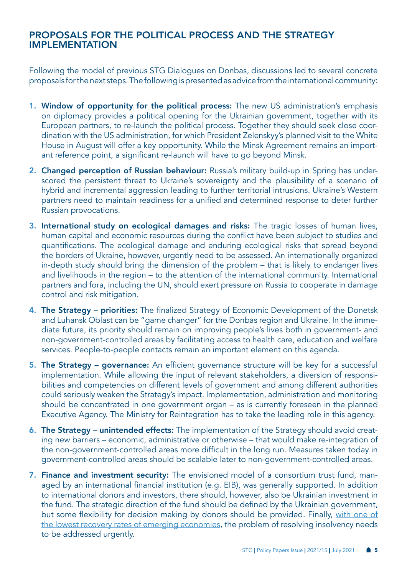#### PROPOSALS FOR THE POLITICAL PROCESS AND THE STRATEGY IMPLEMENTATION

Following the model of previous STG Dialogues on Donbas, discussions led to several concrete proposals for the next steps. The following is presented as advice from the international community:

- 1. Window of opportunity for the political process: The new US administration's emphasis on diplomacy provides a political opening for the Ukrainian government, together with its European partners, to re-launch the political process. Together they should seek close coordination with the US administration, for which President Zelenskyy's planned visit to the White House in August will offer a key opportunity. While the Minsk Agreement remains an important reference point, a significant re-launch will have to go beyond Minsk.
- 2. Changed perception of Russian behaviour: Russia's military build-up in Spring has underscored the persistent threat to Ukraine's sovereignty and the plausibility of a scenario of hybrid and incremental aggression leading to further territorial intrusions. Ukraine's Western partners need to maintain readiness for a unified and determined response to deter further Russian provocations.
- 3. International study on ecological damages and risks: The tragic losses of human lives, human capital and economic resources during the conflict have been subject to studies and quantifications. The ecological damage and enduring ecological risks that spread beyond the borders of Ukraine, however, urgently need to be assessed. An internationally organized in-depth study should bring the dimension of the problem – that is likely to endanger lives and livelihoods in the region – to the attention of the international community. International partners and fora, including the UN, should exert pressure on Russia to cooperate in damage control and risk mitigation.
- 4. The Strategy priorities: The finalized Strategy of Economic Development of the Donetsk and Luhansk Oblast can be "game changer" for the Donbas region and Ukraine. In the immediate future, its priority should remain on improving people's lives both in government- and non-government-controlled areas by facilitating access to health care, education and welfare services. People-to-people contacts remain an important element on this agenda.
- 5. The Strategy governance: An efficient governance structure will be key for a successful implementation. While allowing the input of relevant stakeholders, a diversion of responsibilities and competencies on different levels of government and among different authorities could seriously weaken the Strategy's impact. Implementation, administration and monitoring should be concentrated in one government organ – as is currently foreseen in the planned Executive Agency. The Ministry for Reintegration has to take the leading role in this agency.
- 6. The Strategy unintended effects: The implementation of the Strategy should avoid creating new barriers – economic, administrative or otherwise – that would make re-integration of the non-government-controlled areas more difficult in the long run. Measures taken today in government-controlled areas should be scalable later to non-government-controlled areas.
- 7. Finance and investment security: The envisioned model of a consortium trust fund, managed by an international financial institution (e.g. EIB), was generally supported. In addition to international donors and investors, there should, however, also be Ukrainian investment in the fund. The strategic direction of the fund should be defined by the Ukrainian government, but some flexibility for decision making by donors should be provided. Finally, [with one of](https://tcdata360.worldbank.org/indicators/heffd2183?country=BRA&indicator=40810&viz=line_chart&years=2003,2019)  [the lowest recovery rates of emerging economies](https://tcdata360.worldbank.org/indicators/heffd2183?country=BRA&indicator=40810&viz=line_chart&years=2003,2019), the problem of resolving insolvency needs to be addressed urgently.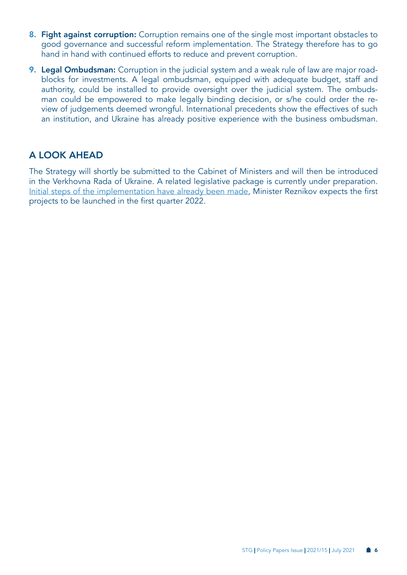- 8. Fight against corruption: Corruption remains one of the single most important obstacles to good governance and successful reform implementation. The Strategy therefore has to go hand in hand with continued efforts to reduce and prevent corruption.
- 9. Legal Ombudsman: Corruption in the judicial system and a weak rule of law are major roadblocks for investments. A legal ombudsman, equipped with adequate budget, staff and authority, could be installed to provide oversight over the judicial system. The ombudsman could be empowered to make legally binding decision, or s/he could order the review of judgements deemed wrongful. International precedents show the effectives of such an institution, and Ukraine has already positive experience with the business ombudsman.

### A LOOK AHEAD

The Strategy will shortly be submitted to the Cabinet of Ministers and will then be introduced in the Verkhovna Rada of Ukraine. A related legislative package is currently under preparation. [Initial steps of the implementation have already been made](https://minre.gov.ua/news/strategiya-ekonomichnogo-rozvytku-donbasu-shche-ne-pryynyata-ale-yiyi-klyuchovi-zasady-vzhe), Minister Reznikov expects the first projects to be launched in the first quarter 2022.